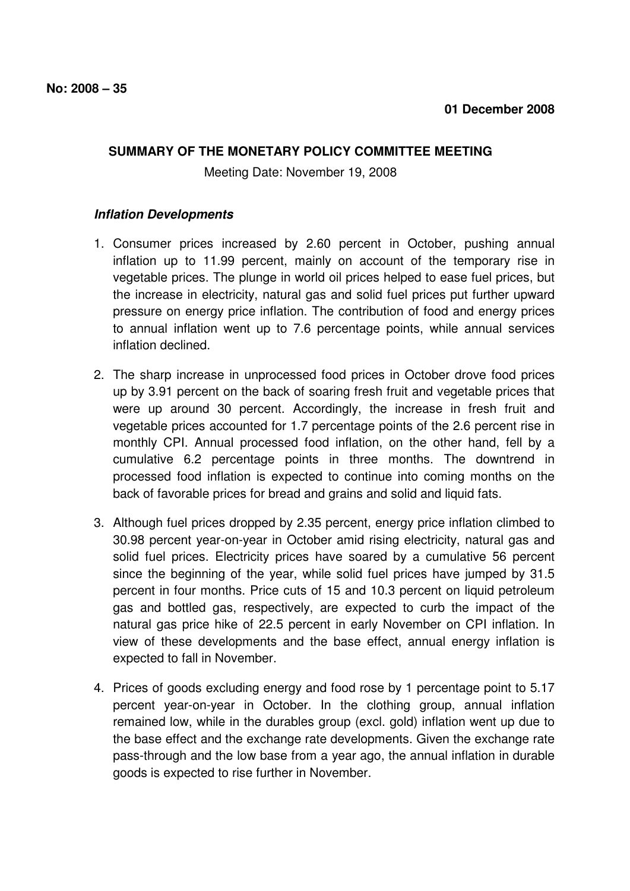## **SUMMARY OF THE MONETARY POLICY COMMITTEE MEETING**

Meeting Date: November 19, 2008

## **Inflation Developments**

- 1. Consumer prices increased by 2.60 percent in October, pushing annual inflation up to 11.99 percent, mainly on account of the temporary rise in vegetable prices. The plunge in world oil prices helped to ease fuel prices, but the increase in electricity, natural gas and solid fuel prices put further upward pressure on energy price inflation. The contribution of food and energy prices to annual inflation went up to 7.6 percentage points, while annual services inflation declined.
- 2. The sharp increase in unprocessed food prices in October drove food prices up by 3.91 percent on the back of soaring fresh fruit and vegetable prices that were up around 30 percent. Accordingly, the increase in fresh fruit and vegetable prices accounted for 1.7 percentage points of the 2.6 percent rise in monthly CPI. Annual processed food inflation, on the other hand, fell by a cumulative 6.2 percentage points in three months. The downtrend in processed food inflation is expected to continue into coming months on the back of favorable prices for bread and grains and solid and liquid fats.
- 3. Although fuel prices dropped by 2.35 percent, energy price inflation climbed to 30.98 percent year-on-year in October amid rising electricity, natural gas and solid fuel prices. Electricity prices have soared by a cumulative 56 percent since the beginning of the year, while solid fuel prices have jumped by 31.5 percent in four months. Price cuts of 15 and 10.3 percent on liquid petroleum gas and bottled gas, respectively, are expected to curb the impact of the natural gas price hike of 22.5 percent in early November on CPI inflation. In view of these developments and the base effect, annual energy inflation is expected to fall in November.
- 4. Prices of goods excluding energy and food rose by 1 percentage point to 5.17 percent year-on-year in October. In the clothing group, annual inflation remained low, while in the durables group (excl. gold) inflation went up due to the base effect and the exchange rate developments. Given the exchange rate pass-through and the low base from a year ago, the annual inflation in durable goods is expected to rise further in November.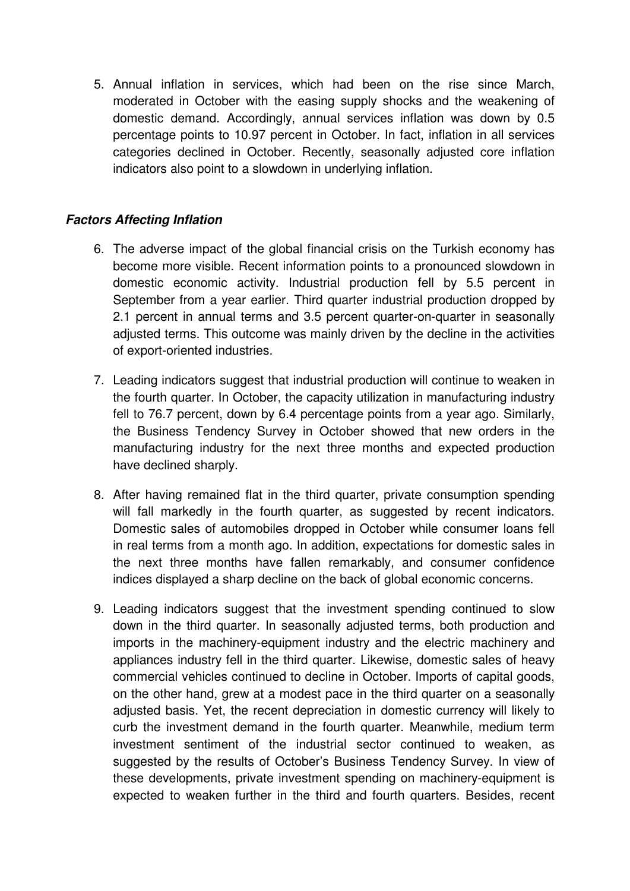5. Annual inflation in services, which had been on the rise since March, moderated in October with the easing supply shocks and the weakening of domestic demand. Accordingly, annual services inflation was down by 0.5 percentage points to 10.97 percent in October. In fact, inflation in all services categories declined in October. Recently, seasonally adjusted core inflation indicators also point to a slowdown in underlying inflation.

## **Factors Affecting Inflation**

- 6. The adverse impact of the global financial crisis on the Turkish economy has become more visible. Recent information points to a pronounced slowdown in domestic economic activity. Industrial production fell by 5.5 percent in September from a year earlier. Third quarter industrial production dropped by 2.1 percent in annual terms and 3.5 percent quarter-on-quarter in seasonally adjusted terms. This outcome was mainly driven by the decline in the activities of export-oriented industries.
- 7. Leading indicators suggest that industrial production will continue to weaken in the fourth quarter. In October, the capacity utilization in manufacturing industry fell to 76.7 percent, down by 6.4 percentage points from a year ago. Similarly, the Business Tendency Survey in October showed that new orders in the manufacturing industry for the next three months and expected production have declined sharply.
- 8. After having remained flat in the third quarter, private consumption spending will fall markedly in the fourth quarter, as suggested by recent indicators. Domestic sales of automobiles dropped in October while consumer loans fell in real terms from a month ago. In addition, expectations for domestic sales in the next three months have fallen remarkably, and consumer confidence indices displayed a sharp decline on the back of global economic concerns.
- 9. Leading indicators suggest that the investment spending continued to slow down in the third quarter. In seasonally adjusted terms, both production and imports in the machinery-equipment industry and the electric machinery and appliances industry fell in the third quarter. Likewise, domestic sales of heavy commercial vehicles continued to decline in October. Imports of capital goods, on the other hand, grew at a modest pace in the third quarter on a seasonally adjusted basis. Yet, the recent depreciation in domestic currency will likely to curb the investment demand in the fourth quarter. Meanwhile, medium term investment sentiment of the industrial sector continued to weaken, as suggested by the results of October's Business Tendency Survey. In view of these developments, private investment spending on machinery-equipment is expected to weaken further in the third and fourth quarters. Besides, recent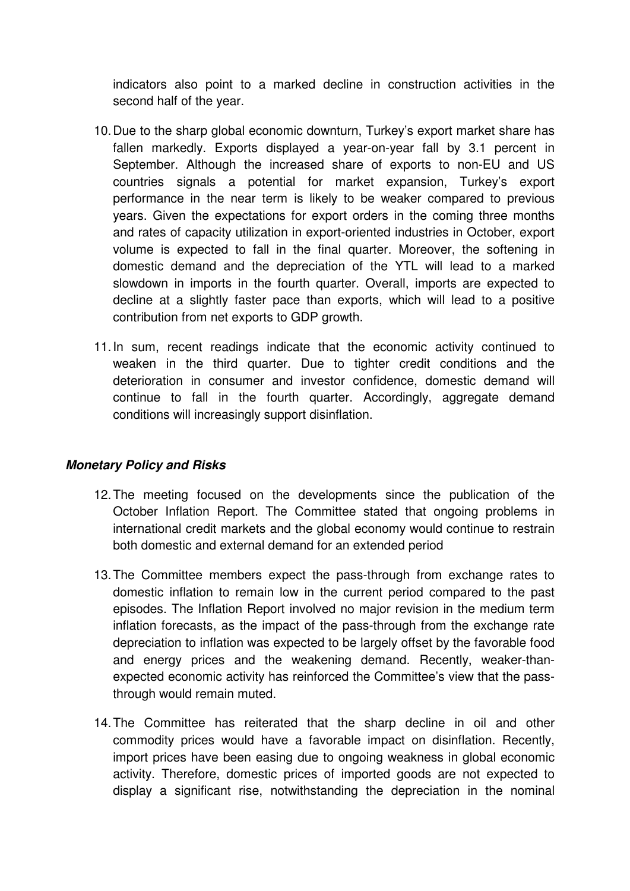indicators also point to a marked decline in construction activities in the second half of the year.

- 10. Due to the sharp global economic downturn, Turkey's export market share has fallen markedly. Exports displayed a year-on-year fall by 3.1 percent in September. Although the increased share of exports to non-EU and US countries signals a potential for market expansion, Turkey's export performance in the near term is likely to be weaker compared to previous years. Given the expectations for export orders in the coming three months and rates of capacity utilization in export-oriented industries in October, export volume is expected to fall in the final quarter. Moreover, the softening in domestic demand and the depreciation of the YTL will lead to a marked slowdown in imports in the fourth quarter. Overall, imports are expected to decline at a slightly faster pace than exports, which will lead to a positive contribution from net exports to GDP growth.
- 11. In sum, recent readings indicate that the economic activity continued to weaken in the third quarter. Due to tighter credit conditions and the deterioration in consumer and investor confidence, domestic demand will continue to fall in the fourth quarter. Accordingly, aggregate demand conditions will increasingly support disinflation.

## **Monetary Policy and Risks**

- 12. The meeting focused on the developments since the publication of the October Inflation Report. The Committee stated that ongoing problems in international credit markets and the global economy would continue to restrain both domestic and external demand for an extended period
- 13. The Committee members expect the pass-through from exchange rates to domestic inflation to remain low in the current period compared to the past episodes. The Inflation Report involved no major revision in the medium term inflation forecasts, as the impact of the pass-through from the exchange rate depreciation to inflation was expected to be largely offset by the favorable food and energy prices and the weakening demand. Recently, weaker-thanexpected economic activity has reinforced the Committee's view that the passthrough would remain muted.
- 14. The Committee has reiterated that the sharp decline in oil and other commodity prices would have a favorable impact on disinflation. Recently, import prices have been easing due to ongoing weakness in global economic activity. Therefore, domestic prices of imported goods are not expected to display a significant rise, notwithstanding the depreciation in the nominal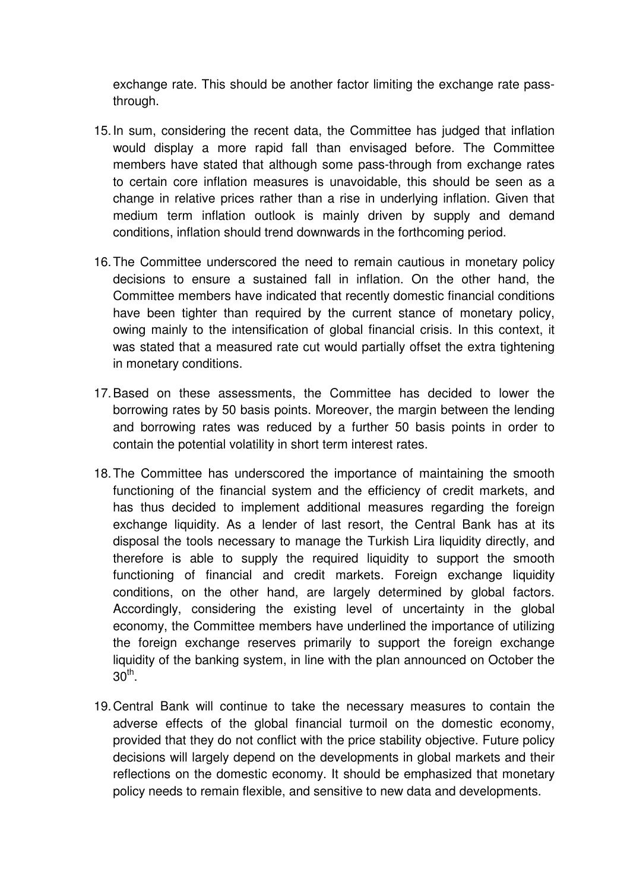exchange rate. This should be another factor limiting the exchange rate passthrough.

- 15. In sum, considering the recent data, the Committee has judged that inflation would display a more rapid fall than envisaged before. The Committee members have stated that although some pass-through from exchange rates to certain core inflation measures is unavoidable, this should be seen as a change in relative prices rather than a rise in underlying inflation. Given that medium term inflation outlook is mainly driven by supply and demand conditions, inflation should trend downwards in the forthcoming period.
- 16. The Committee underscored the need to remain cautious in monetary policy decisions to ensure a sustained fall in inflation. On the other hand, the Committee members have indicated that recently domestic financial conditions have been tighter than required by the current stance of monetary policy, owing mainly to the intensification of global financial crisis. In this context, it was stated that a measured rate cut would partially offset the extra tightening in monetary conditions.
- 17. Based on these assessments, the Committee has decided to lower the borrowing rates by 50 basis points. Moreover, the margin between the lending and borrowing rates was reduced by a further 50 basis points in order to contain the potential volatility in short term interest rates.
- 18. The Committee has underscored the importance of maintaining the smooth functioning of the financial system and the efficiency of credit markets, and has thus decided to implement additional measures regarding the foreign exchange liquidity. As a lender of last resort, the Central Bank has at its disposal the tools necessary to manage the Turkish Lira liquidity directly, and therefore is able to supply the required liquidity to support the smooth functioning of financial and credit markets. Foreign exchange liquidity conditions, on the other hand, are largely determined by global factors. Accordingly, considering the existing level of uncertainty in the global economy, the Committee members have underlined the importance of utilizing the foreign exchange reserves primarily to support the foreign exchange liquidity of the banking system, in line with the plan announced on October the  $30^{\sf th}$ .
- 19. Central Bank will continue to take the necessary measures to contain the adverse effects of the global financial turmoil on the domestic economy, provided that they do not conflict with the price stability objective. Future policy decisions will largely depend on the developments in global markets and their reflections on the domestic economy. It should be emphasized that monetary policy needs to remain flexible, and sensitive to new data and developments.